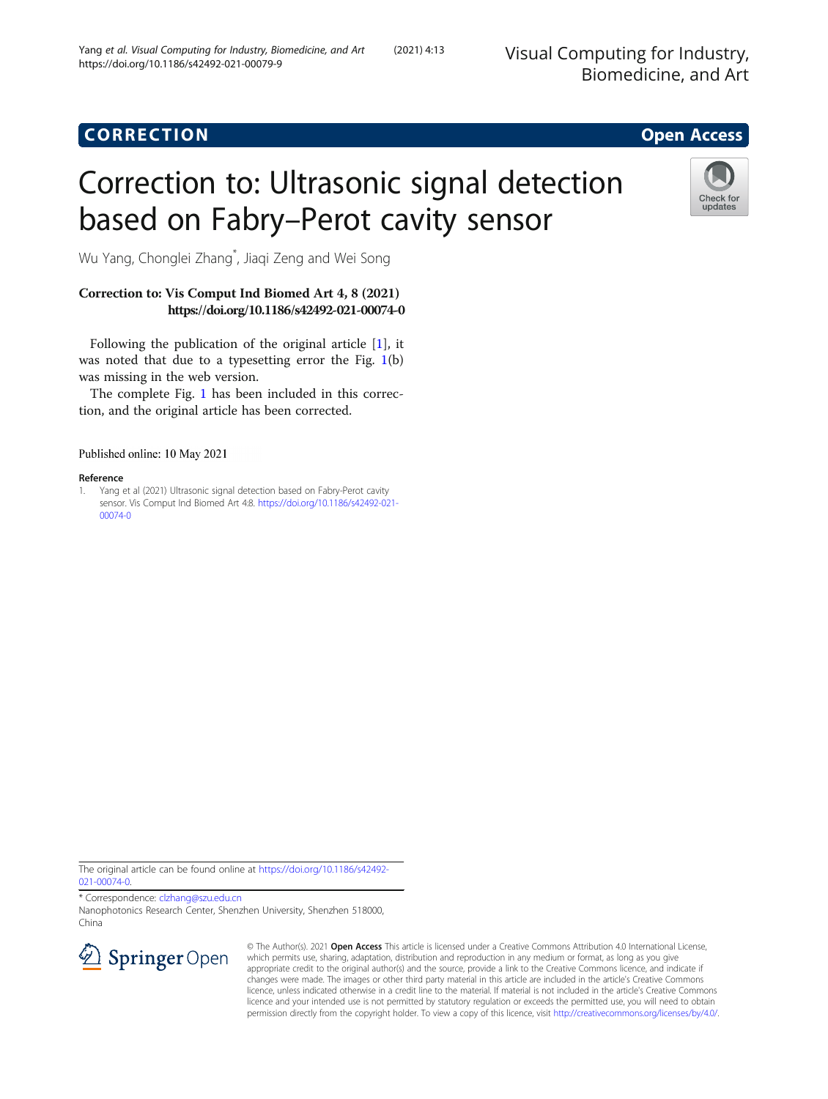## CORR EC TION Open [Access](http://crossmark.crossref.org/dialog/?doi=10.1186/s42492-021-00079-9&domain=pdf)

# Correction to: Ultrasonic signal detection based on Fabry–Perot cavity sensor



Wu Yang, Chonglei Zhang\* , Jiaqi Zeng and Wei Song

### Correction to: Vis Comput Ind Biomed Art 4, 8 (2021) https://doi.org/10.1186/s42492-021-00074-0

Following the publication of the original article [1], it was noted that due to a typesetting error the Fig. [1](#page-1-0)(b) was missing in the web version.

The complete Fig. [1](#page-1-0) has been included in this correction, and the original article has been corrected.

Published online: 10 May 2021

#### Reference

1. Yang et al (2021) Ultrasonic signal detection based on Fabry-Perot cavity sensor. Vis Comput Ind Biomed Art 4:8. [https://doi.org/10.1186/s42492-021-](https://doi.org/10.1186/s42492-021-00074-0) [00074-0](https://doi.org/10.1186/s42492-021-00074-0)

The original article can be found online at [https://doi.org/10.1186/s42492-](https://doi.org/10.1186/s42492-021-00074-0) [021-00074-0](https://doi.org/10.1186/s42492-021-00074-0).

\* Correspondence: [clzhang@szu.edu.cn](mailto:clzhang@szu.edu.cn) Nanophotonics Research Center, Shenzhen University, Shenzhen 518000, China



© The Author(s). 2021 Open Access This article is licensed under a Creative Commons Attribution 4.0 International License, which permits use, sharing, adaptation, distribution and reproduction in any medium or format, as long as you give appropriate credit to the original author(s) and the source, provide a link to the Creative Commons licence, and indicate if changes were made. The images or other third party material in this article are included in the article's Creative Commons licence, unless indicated otherwise in a credit line to the material. If material is not included in the article's Creative Commons licence and your intended use is not permitted by statutory regulation or exceeds the permitted use, you will need to obtain permission directly from the copyright holder. To view a copy of this licence, visit <http://creativecommons.org/licenses/by/4.0/>.